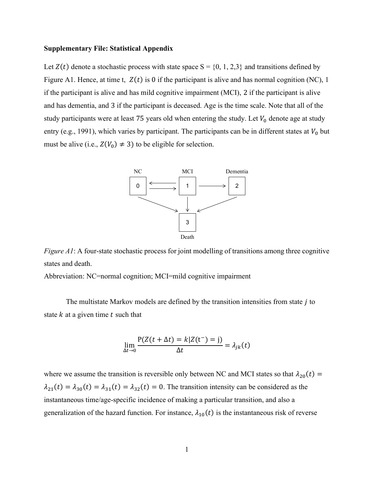## Supplementary File: Statistical Appendix

Let  $Z(t)$  denote a stochastic process with state space  $S = \{0, 1, 2, 3\}$  and transitions defined by Figure A1. Hence, at time t,  $Z(t)$  is 0 if the participant is alive and has normal cognition (NC), 1 if the participant is alive and has mild cognitive impairment (MCI), 2 if the participant is alive and has dementia, and 3 if the participant is deceased. Age is the time scale. Note that all of the study participants were at least 75 years old when entering the study. Let  $V_0$  denote age at study entry (e.g., 1991), which varies by participant. The participants can be in different states at  $V_0$  but must be alive (i.e.,  $Z(V_0) \neq 3$ ) to be eligible for selection. al Appendix<br>
al Appendix<br>
coses with state space  $S = \{0, 1, 2, 3\}$  and transitions defined by<br> *t*) is 0 if the participant is alive and has normal cognition (NC), 1<br>
smild cognitive impairment (MCI), 2 if the participan **Example 18**<br> **Example 18**<br> **Example 18**<br> **Example 18**<br> **Example 18**<br> **Example 18**<br> **Example 18**<br> **Example 18**<br> **EXALCE 18**<br> **EXALCE 18**<br> **EXALCE 18**<br> **EXALCE 18**<br> **EXALCE 18**<br> **EXALCE 18**<br> **EXALCE 18**<br> **EXALCE 18**<br> **EXAL** 



Figure A1: A four-state stochastic process for joint modelling of transitions among three cognitive states and death.

Abbreviation: NC=normal cognition; MCI=mild cognitive impairment

The multistate Markov models are defined by the transition intensities from state  $j$  to state  $k$  at a given time  $t$  such that

$$
\lim_{\Delta t \to 0} \frac{P(Z(t + \Delta t) = k | Z(t^{-}) = j)}{\Delta t} = \lambda_{jk}(t)
$$

where we assume the transition is reversible only between NC and MCI states so that  $\lambda_{20}(t) =$  $\lambda_{21}(t) = \lambda_{30}(t) = \lambda_{31}(t) = \lambda_{32}(t) = 0$ . The transition intensity can be considered as the instantaneous time/age-specific incidence of making a particular transition, and also a generalization of the hazard function. For instance,  $\lambda_{10}(t)$  is the instantaneous risk of reverse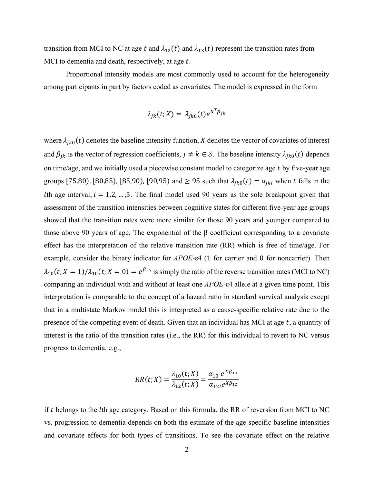transition from MCI to NC at age t and  $\lambda_{12}(t)$  and  $\lambda_{13}(t)$  represent the transition rates from MCI to dementia and death, respectively, at age  $t$ .

Proportional intensity models are most commonly used to account for the heterogeneity among participants in part by factors coded as covariates. The model is expressed in the form

$$
\lambda_{jk}(t;X) = \lambda_{jk0}(t)e^{X^T\beta_{jk}}
$$

where  $\lambda_{jk0}(t)$  denotes the baseline intensity function, X denotes the vector of covariates of interest and  $\beta_{jk}$  is the vector of regression coefficients,  $j \neq k \in S$ . The baseline intensity  $\lambda_{jk0}(t)$  depends on time/age, and we initially used a piecewise constant model to categorize age  $t$  by five-year age groups [75,80), [80,85), [85,90), [90,95) and  $\geq$  95 such that  $\lambda_{jk0}(t) = \alpha_{jkl}$  when t falls in the Ith age interval,  $l = 1, 2, ..., 5$ . The final model used 90 years as the sole breakpoint given that assessment of the transition intensities between cognitive states for different five-year age groups showed that the transition rates were more similar for those 90 years and younger compared to those above 90 years of age. The exponential of the β coefficient corresponding to a covariate effect has the interpretation of the relative transition rate (RR) which is free of time/age. For example, consider the binary indicator for APOE-ε4 (1 for carrier and 0 for noncarrier). Then  $\lambda_{10}(t; X = 1)/\lambda_{10}(t; X = 0) = e^{\beta_{10}}$  is simply the ratio of the reverse transition rates (MCI to NC) comparing an individual with and without at least one APOE-ε4 allele at a given time point. This interpretation is comparable to the concept of a hazard ratio in standard survival analysis except that in a multistate Markov model this is interpreted as a cause-specific relative rate due to the presence of the competing event of death. Given that an individual has MCI at age  $t$ , a quantity of interest is the ratio of the transition rates (i.e., the RR) for this individual to revert to NC versus progress to dementia, e.g.,

$$
RR(t;X) = \frac{\lambda_{10}(t;X)}{\lambda_{12}(t;X)} = \frac{\alpha_{10} e^{X\beta_{10}}}{\alpha_{12l}e^{X\beta_{12}}}
$$

if  $t$  belongs to the  $l$ th age category. Based on this formula, the RR of reversion from MCI to NC vs. progression to dementia depends on both the estimate of the age-specific baseline intensities and covariate effects for both types of transitions. To see the covariate effect on the relative